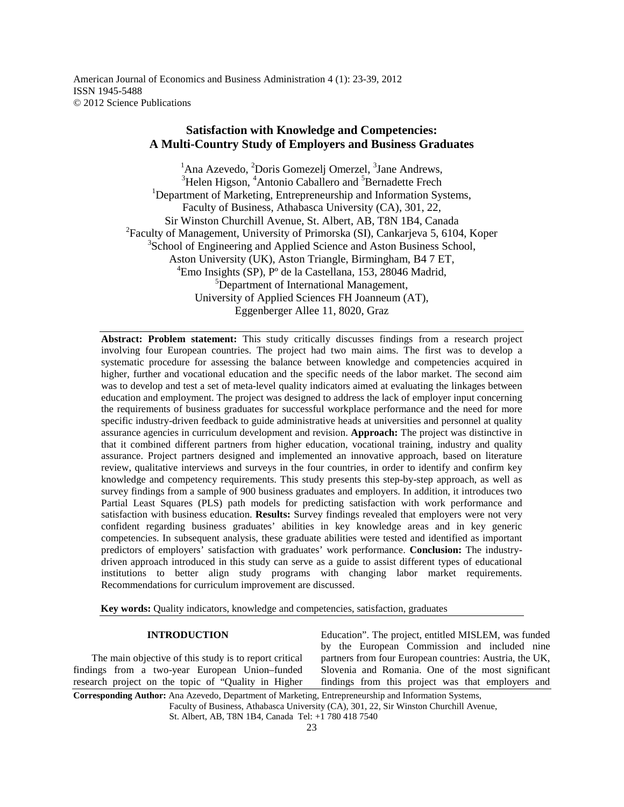American Journal of Economics and Business Administration 4 (1): 23-39, 2012 ISSN 1945-5488 © 2012 Science Publications

# **Satisfaction with Knowledge and Competencies: A Multi-Country Study of Employers and Business Graduates**

 ${}^{1}$ Ana Azevedo,  ${}^{2}$ Doris Gomezelj Omerzel,  ${}^{3}$ Jane Andrews, <sup>3</sup>Helen Higson, <sup>4</sup>Antonio Caballero and <sup>5</sup>Bernadette Frech <sup>1</sup>Department of Marketing, Entrepreneurship and Information Systems, Faculty of Business, Athabasca University (CA), 301, 22, Sir Winston Churchill Avenue, St. Albert, AB, T8N 1B4, Canada <sup>2</sup> Faculty of Management, University of Primorska (SI), Cankarjeva 5, 6104, Koper <sup>3</sup>School of Engineering and Applied Science and Aston Business School, Aston University (UK), Aston Triangle, Birmingham, B4 7 ET,  $\rm{^{4}E}$ mo Insights (SP), P<sup>o</sup> de la Castellana, 153, 28046 Madrid, <sup>5</sup>Department of International Management, University of Applied Sciences FH Joanneum (AT), Eggenberger Allee 11, 8020, Graz

**Abstract: Problem statement:** This study critically discusses findings from a research project involving four European countries. The project had two main aims. The first was to develop a systematic procedure for assessing the balance between knowledge and competencies acquired in higher, further and vocational education and the specific needs of the labor market. The second aim was to develop and test a set of meta-level quality indicators aimed at evaluating the linkages between education and employment. The project was designed to address the lack of employer input concerning the requirements of business graduates for successful workplace performance and the need for more specific industry-driven feedback to guide administrative heads at universities and personnel at quality assurance agencies in curriculum development and revision. **Approach:** The project was distinctive in that it combined different partners from higher education, vocational training, industry and quality assurance. Project partners designed and implemented an innovative approach, based on literature review, qualitative interviews and surveys in the four countries, in order to identify and confirm key knowledge and competency requirements. This study presents this step-by-step approach, as well as survey findings from a sample of 900 business graduates and employers. In addition, it introduces two Partial Least Squares (PLS) path models for predicting satisfaction with work performance and satisfaction with business education. **Results:** Survey findings revealed that employers were not very confident regarding business graduates' abilities in key knowledge areas and in key generic competencies. In subsequent analysis, these graduate abilities were tested and identified as important predictors of employers' satisfaction with graduates' work performance. **Conclusion:** The industrydriven approach introduced in this study can serve as a guide to assist different types of educational institutions to better align study programs with changing labor market requirements. Recommendations for curriculum improvement are discussed.

**Key words:** Quality indicators, knowledge and competencies, satisfaction, graduates

## **INTRODUCTION**

 The main objective of this study is to report critical findings from a two-year European Union–funded research project on the topic of "Quality in Higher Education". The project, entitled MISLEM, was funded by the European Commission and included nine partners from four European countries: Austria, the UK, Slovenia and Romania. One of the most significant findings from this project was that employers and

**Corresponding Author:** Ana Azevedo, Department of Marketing, Entrepreneurship and Information Systems, Faculty of Business, Athabasca University (CA), 301, 22, Sir Winston Churchill Avenue,

St. Albert, AB, T8N 1B4, CanadaTel: +1 780 418 7540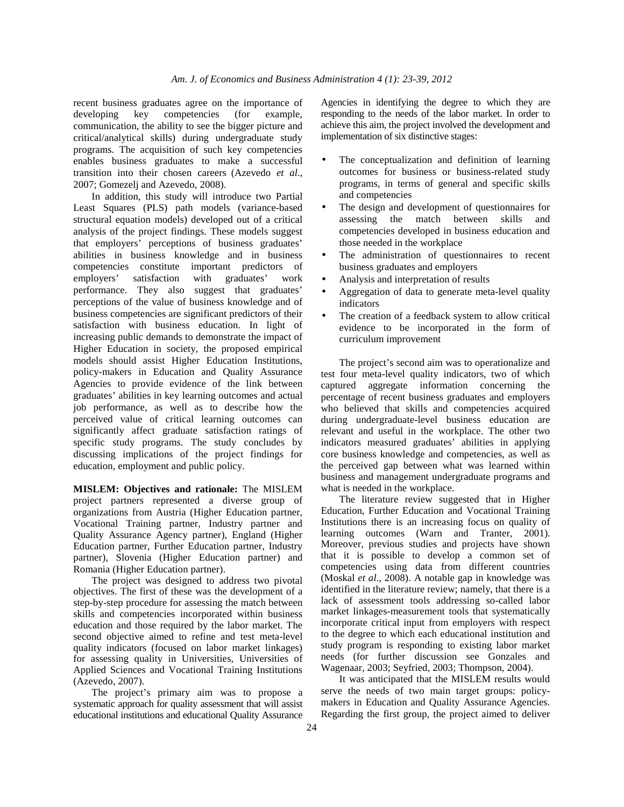recent business graduates agree on the importance of developing key competencies (for example, communication, the ability to see the bigger picture and critical/analytical skills) during undergraduate study programs. The acquisition of such key competencies enables business graduates to make a successful transition into their chosen careers (Azevedo *et al*., 2007; Gomezelj and Azevedo, 2008).

 In addition, this study will introduce two Partial Least Squares (PLS) path models (variance-based structural equation models) developed out of a critical analysis of the project findings. These models suggest that employers' perceptions of business graduates' abilities in business knowledge and in business competencies constitute important predictors of employers' satisfaction with graduates' work performance. They also suggest that graduates' perceptions of the value of business knowledge and of business competencies are significant predictors of their satisfaction with business education. In light of increasing public demands to demonstrate the impact of Higher Education in society, the proposed empirical models should assist Higher Education Institutions, policy-makers in Education and Quality Assurance Agencies to provide evidence of the link between graduates' abilities in key learning outcomes and actual job performance, as well as to describe how the perceived value of critical learning outcomes can significantly affect graduate satisfaction ratings of specific study programs. The study concludes by discussing implications of the project findings for education, employment and public policy.

**MISLEM: Objectives and rationale:** The MISLEM project partners represented a diverse group of organizations from Austria (Higher Education partner, Vocational Training partner, Industry partner and Quality Assurance Agency partner), England (Higher Education partner, Further Education partner, Industry partner), Slovenia (Higher Education partner) and Romania (Higher Education partner).

 The project was designed to address two pivotal objectives. The first of these was the development of a step-by-step procedure for assessing the match between skills and competencies incorporated within business education and those required by the labor market. The second objective aimed to refine and test meta-level quality indicators (focused on labor market linkages) for assessing quality in Universities, Universities of Applied Sciences and Vocational Training Institutions (Azevedo, 2007).

 The project's primary aim was to propose a systematic approach for quality assessment that will assist educational institutions and educational Quality Assurance Agencies in identifying the degree to which they are responding to the needs of the labor market. In order to achieve this aim, the project involved the development and implementation of six distinctive stages:

- The conceptualization and definition of learning outcomes for business or business-related study programs, in terms of general and specific skills and competencies
- The design and development of questionnaires for assessing the match between skills and competencies developed in business education and those needed in the workplace
- The administration of questionnaires to recent business graduates and employers
- Analysis and interpretation of results
- Aggregation of data to generate meta-level quality indicators
- The creation of a feedback system to allow critical evidence to be incorporated in the form of curriculum improvement

 The project's second aim was to operationalize and test four meta-level quality indicators, two of which captured aggregate information concerning the percentage of recent business graduates and employers who believed that skills and competencies acquired during undergraduate-level business education are relevant and useful in the workplace. The other two indicators measured graduates' abilities in applying core business knowledge and competencies, as well as the perceived gap between what was learned within business and management undergraduate programs and what is needed in the workplace.

 The literature review suggested that in Higher Education, Further Education and Vocational Training Institutions there is an increasing focus on quality of learning outcomes (Warn and Tranter, 2001). Moreover, previous studies and projects have shown that it is possible to develop a common set of competencies using data from different countries (Moskal *et al*., 2008). A notable gap in knowledge was identified in the literature review; namely, that there is a lack of assessment tools addressing so-called labor market linkages*-*measurement tools that systematically incorporate critical input from employers with respect to the degree to which each educational institution and study program is responding to existing labor market needs (for further discussion see Gonzales and Wagenaar, 2003; Seyfried, 2003; Thompson, 2004).

 It was anticipated that the MISLEM results would serve the needs of two main target groups: policymakers in Education and Quality Assurance Agencies. Regarding the first group, the project aimed to deliver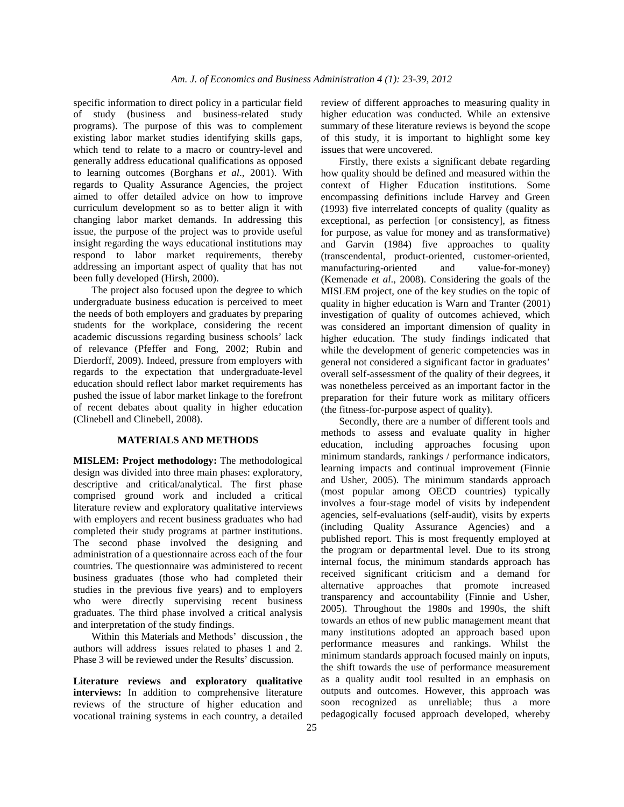specific information to direct policy in a particular field of study (business and business-related study programs). The purpose of this was to complement existing labor market studies identifying skills gaps, which tend to relate to a macro or country-level and generally address educational qualifications as opposed to learning outcomes (Borghans *et al*., 2001). With regards to Quality Assurance Agencies, the project aimed to offer detailed advice on how to improve curriculum development so as to better align it with changing labor market demands. In addressing this issue, the purpose of the project was to provide useful insight regarding the ways educational institutions may respond to labor market requirements, thereby addressing an important aspect of quality that has not been fully developed (Hirsh, 2000).

 The project also focused upon the degree to which undergraduate business education is perceived to meet the needs of both employers and graduates by preparing students for the workplace, considering the recent academic discussions regarding business schools' lack of relevance (Pfeffer and Fong, 2002; Rubin and Dierdorff, 2009). Indeed, pressure from employers with regards to the expectation that undergraduate-level education should reflect labor market requirements has pushed the issue of labor market linkage to the forefront of recent debates about quality in higher education (Clinebell and Clinebell, 2008).

### **MATERIALS AND METHODS**

**MISLEM: Project methodology:** The methodological design was divided into three main phases: exploratory, descriptive and critical/analytical. The first phase comprised ground work and included a critical literature review and exploratory qualitative interviews with employers and recent business graduates who had completed their study programs at partner institutions. The second phase involved the designing and administration of a questionnaire across each of the four countries. The questionnaire was administered to recent business graduates (those who had completed their studies in the previous five years) and to employers who were directly supervising recent business graduates. The third phase involved a critical analysis and interpretation of the study findings.

 Within this Materials and Methods' discussion , the authors will address issues related to phases 1 and 2. Phase 3 will be reviewed under the Results' discussion.

**Literature reviews and exploratory qualitative interviews:** In addition to comprehensive literature reviews of the structure of higher education and vocational training systems in each country, a detailed

review of different approaches to measuring quality in higher education was conducted. While an extensive summary of these literature reviews is beyond the scope of this study, it is important to highlight some key issues that were uncovered.

 Firstly, there exists a significant debate regarding how quality should be defined and measured within the context of Higher Education institutions. Some encompassing definitions include Harvey and Green (1993) five interrelated concepts of quality (quality as exceptional, as perfection for consistencyl, as fitness for purpose, as value for money and as transformative) and Garvin (1984) five approaches to quality (transcendental, product-oriented, customer-oriented, manufacturing-oriented and value-for-money) (Kemenade *et al*., 2008). Considering the goals of the MISLEM project, one of the key studies on the topic of quality in higher education is Warn and Tranter (2001) investigation of quality of outcomes achieved, which was considered an important dimension of quality in higher education. The study findings indicated that while the development of generic competencies was in general not considered a significant factor in graduates' overall self-assessment of the quality of their degrees, it was nonetheless perceived as an important factor in the preparation for their future work as military officers (the fitness-for-purpose aspect of quality).

 Secondly, there are a number of different tools and methods to assess and evaluate quality in higher education, including approaches focusing upon minimum standards, rankings / performance indicators, learning impacts and continual improvement (Finnie and Usher, 2005). The minimum standards approach (most popular among OECD countries) typically involves a four-stage model of visits by independent agencies, self-evaluations (self-audit), visits by experts (including Quality Assurance Agencies) and a published report. This is most frequently employed at the program or departmental level. Due to its strong internal focus, the minimum standards approach has received significant criticism and a demand for alternative approaches that promote increased transparency and accountability (Finnie and Usher, 2005). Throughout the 1980s and 1990s, the shift towards an ethos of new public management meant that many institutions adopted an approach based upon performance measures and rankings. Whilst the minimum standards approach focused mainly on inputs, the shift towards the use of performance measurement as a quality audit tool resulted in an emphasis on outputs and outcomes. However, this approach was soon recognized as unreliable; thus a more pedagogically focused approach developed, whereby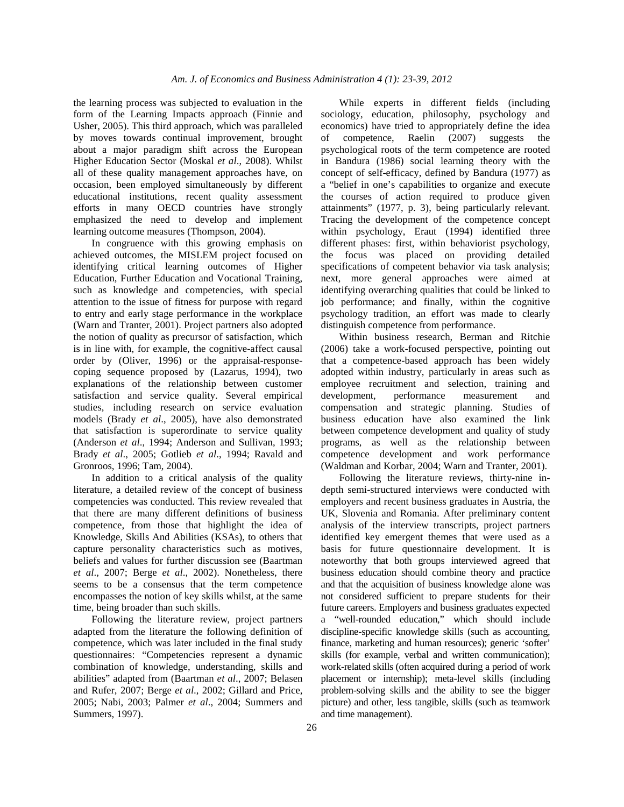the learning process was subjected to evaluation in the form of the Learning Impacts approach (Finnie and Usher, 2005). This third approach, which was paralleled by moves towards continual improvement, brought about a major paradigm shift across the European Higher Education Sector (Moskal *et al*., 2008). Whilst all of these quality management approaches have, on occasion, been employed simultaneously by different educational institutions, recent quality assessment efforts in many OECD countries have strongly emphasized the need to develop and implement learning outcome measures (Thompson, 2004).

 In congruence with this growing emphasis on achieved outcomes, the MISLEM project focused on identifying critical learning outcomes of Higher Education, Further Education and Vocational Training, such as knowledge and competencies, with special attention to the issue of fitness for purpose with regard to entry and early stage performance in the workplace (Warn and Tranter, 2001). Project partners also adopted the notion of quality as precursor of satisfaction, which is in line with, for example, the cognitive-affect causal order by (Oliver, 1996) or the appraisal-responsecoping sequence proposed by (Lazarus, 1994), two explanations of the relationship between customer satisfaction and service quality. Several empirical studies, including research on service evaluation models (Brady *et al*., 2005), have also demonstrated that satisfaction is superordinate to service quality (Anderson *et al*., 1994; Anderson and Sullivan, 1993; Brady *et al*., 2005; Gotlieb *et al*., 1994; Ravald and Gronroos, 1996; Tam, 2004).

 In addition to a critical analysis of the quality literature, a detailed review of the concept of business competencies was conducted. This review revealed that that there are many different definitions of business competence, from those that highlight the idea of Knowledge, Skills And Abilities (KSAs), to others that capture personality characteristics such as motives, beliefs and values for further discussion see (Baartman *et al*., 2007; Berge *et al*., 2002). Nonetheless, there seems to be a consensus that the term competence encompasses the notion of key skills whilst, at the same time, being broader than such skills.

 Following the literature review, project partners adapted from the literature the following definition of competence, which was later included in the final study questionnaires: "Competencies represent a dynamic combination of knowledge, understanding, skills and abilities" adapted from (Baartman *et al*., 2007; Belasen and Rufer, 2007; Berge *et al*., 2002; Gillard and Price, 2005; Nabi, 2003; Palmer *et al*., 2004; Summers and Summers, 1997).

 While experts in different fields (including sociology, education, philosophy, psychology and economics) have tried to appropriately define the idea of competence, Raelin (2007) suggests the psychological roots of the term competence are rooted in Bandura (1986) social learning theory with the concept of self-efficacy, defined by Bandura (1977) as a "belief in one's capabilities to organize and execute the courses of action required to produce given attainments" (1977, p. 3), being particularly relevant. Tracing the development of the competence concept within psychology, Eraut (1994) identified three different phases: first, within behaviorist psychology, the focus was placed on providing detailed specifications of competent behavior via task analysis; next, more general approaches were aimed at identifying overarching qualities that could be linked to job performance; and finally, within the cognitive psychology tradition, an effort was made to clearly distinguish competence from performance.

 Within business research, Berman and Ritchie (2006) take a work-focused perspective, pointing out that a competence-based approach has been widely adopted within industry, particularly in areas such as employee recruitment and selection, training and development, performance measurement and compensation and strategic planning. Studies of business education have also examined the link between competence development and quality of study programs, as well as the relationship between competence development and work performance (Waldman and Korbar, 2004; Warn and Tranter, 2001).

 Following the literature reviews, thirty-nine indepth semi-structured interviews were conducted with employers and recent business graduates in Austria, the UK, Slovenia and Romania. After preliminary content analysis of the interview transcripts, project partners identified key emergent themes that were used as a basis for future questionnaire development. It is noteworthy that both groups interviewed agreed that business education should combine theory and practice and that the acquisition of business knowledge alone was not considered sufficient to prepare students for their future careers. Employers and business graduates expected a "well-rounded education," which should include discipline-specific knowledge skills (such as accounting, finance, marketing and human resources); generic 'softer' skills (for example, verbal and written communication); work-related skills (often acquired during a period of work placement or internship); meta-level skills (including problem-solving skills and the ability to see the bigger picture) and other, less tangible, skills (such as teamwork and time management).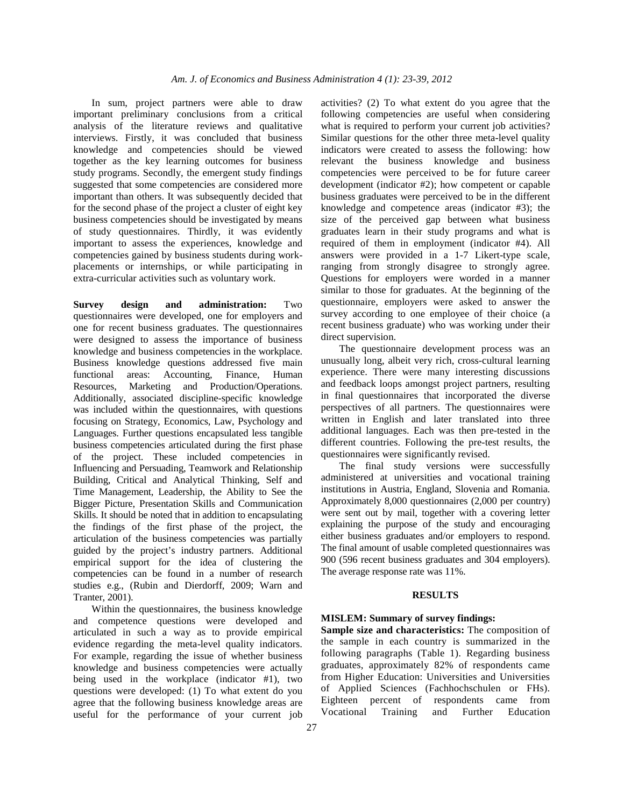In sum, project partners were able to draw important preliminary conclusions from a critical analysis of the literature reviews and qualitative interviews. Firstly, it was concluded that business knowledge and competencies should be viewed together as the key learning outcomes for business study programs. Secondly, the emergent study findings suggested that some competencies are considered more important than others. It was subsequently decided that for the second phase of the project a cluster of eight key business competencies should be investigated by means of study questionnaires. Thirdly, it was evidently important to assess the experiences, knowledge and competencies gained by business students during workplacements or internships, or while participating in extra-curricular activities such as voluntary work.

**Survey design and administration:** Two questionnaires were developed, one for employers and one for recent business graduates. The questionnaires were designed to assess the importance of business knowledge and business competencies in the workplace. Business knowledge questions addressed five main functional areas: Accounting, Finance, Human Resources, Marketing and Production/Operations. Additionally, associated discipline-specific knowledge was included within the questionnaires, with questions focusing on Strategy, Economics, Law, Psychology and Languages. Further questions encapsulated less tangible business competencies articulated during the first phase of the project. These included competencies in Influencing and Persuading, Teamwork and Relationship Building, Critical and Analytical Thinking, Self and Time Management, Leadership, the Ability to See the Bigger Picture, Presentation Skills and Communication Skills. It should be noted that in addition to encapsulating the findings of the first phase of the project, the articulation of the business competencies was partially guided by the project's industry partners. Additional empirical support for the idea of clustering the competencies can be found in a number of research studies e.g., (Rubin and Dierdorff, 2009; Warn and Tranter, 2001).

 Within the questionnaires, the business knowledge and competence questions were developed and articulated in such a way as to provide empirical evidence regarding the meta-level quality indicators. For example, regarding the issue of whether business knowledge and business competencies were actually being used in the workplace (indicator #1), two questions were developed: (1) To what extent do you agree that the following business knowledge areas are useful for the performance of your current job

activities? (2) To what extent do you agree that the following competencies are useful when considering what is required to perform your current job activities? Similar questions for the other three meta-level quality indicators were created to assess the following: how relevant the business knowledge and business competencies were perceived to be for future career development (indicator #2); how competent or capable business graduates were perceived to be in the different knowledge and competence areas (indicator #3); the size of the perceived gap between what business graduates learn in their study programs and what is required of them in employment (indicator #4). All answers were provided in a 1-7 Likert-type scale, ranging from strongly disagree to strongly agree. Questions for employers were worded in a manner similar to those for graduates. At the beginning of the questionnaire, employers were asked to answer the survey according to one employee of their choice (a recent business graduate) who was working under their direct supervision.

 The questionnaire development process was an unusually long, albeit very rich, cross-cultural learning experience. There were many interesting discussions and feedback loops amongst project partners, resulting in final questionnaires that incorporated the diverse perspectives of all partners. The questionnaires were written in English and later translated into three additional languages. Each was then pre-tested in the different countries. Following the pre-test results, the questionnaires were significantly revised.

 The final study versions were successfully administered at universities and vocational training institutions in Austria, England, Slovenia and Romania. Approximately 8,000 questionnaires (2,000 per country) were sent out by mail, together with a covering letter explaining the purpose of the study and encouraging either business graduates and/or employers to respond. The final amount of usable completed questionnaires was 900 (596 recent business graduates and 304 employers). The average response rate was 11%.

## **RESULTS**

#### **MISLEM: Summary of survey findings:**

**Sample size and characteristics:** The composition of the sample in each country is summarized in the following paragraphs (Table 1). Regarding business graduates, approximately 82% of respondents came from Higher Education: Universities and Universities of Applied Sciences (Fachhochschulen or FHs). Eighteen percent of respondents came from Vocational Training and Further Education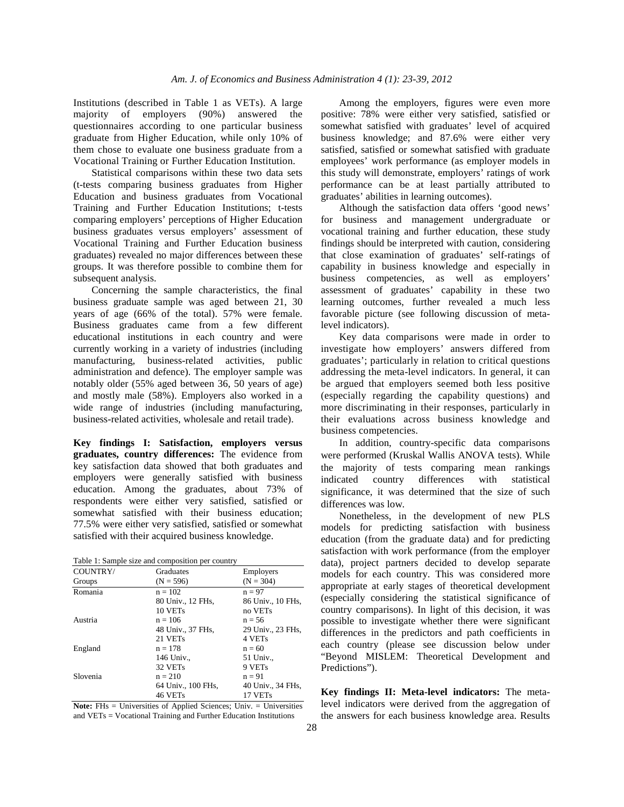Institutions (described in Table 1 as VETs). A large majority of employers (90%) answered the questionnaires according to one particular business graduate from Higher Education, while only 10% of them chose to evaluate one business graduate from a Vocational Training or Further Education Institution.

 Statistical comparisons within these two data sets (t-tests comparing business graduates from Higher Education and business graduates from Vocational Training and Further Education Institutions; t-tests comparing employers' perceptions of Higher Education business graduates versus employers' assessment of Vocational Training and Further Education business graduates) revealed no major differences between these groups. It was therefore possible to combine them for subsequent analysis.

 Concerning the sample characteristics, the final business graduate sample was aged between 21, 30 years of age (66% of the total). 57% were female. Business graduates came from a few different educational institutions in each country and were currently working in a variety of industries (including manufacturing, business-related activities, public administration and defence). The employer sample was notably older (55% aged between 36, 50 years of age) and mostly male (58%). Employers also worked in a wide range of industries (including manufacturing, business-related activities, wholesale and retail trade).

**Key findings I: Satisfaction, employers versus graduates, country differences:** The evidence from key satisfaction data showed that both graduates and employers were generally satisfied with business education. Among the graduates, about 73% of respondents were either very satisfied, satisfied or somewhat satisfied with their business education; 77.5% were either very satisfied, satisfied or somewhat satisfied with their acquired business knowledge.

| Table 1: Sample size and composition per country |                    |                   |  |  |
|--------------------------------------------------|--------------------|-------------------|--|--|
| COUNTRY/                                         | Graduates          | Employers         |  |  |
| Groups                                           | $(N = 596)$        | $(N = 304)$       |  |  |
| Romania                                          | $n = 102$          | $n = 97$          |  |  |
|                                                  | 80 Univ., 12 FHs,  | 86 Univ., 10 FHs. |  |  |
|                                                  | 10 VETs            | no VETs           |  |  |
| Austria                                          | $n = 106$          | $n = 56$          |  |  |
|                                                  | 48 Univ., 37 FHs.  | 29 Univ., 23 FHs. |  |  |
|                                                  | 21 VETs            | 4 VETs            |  |  |
| England                                          | $n = 178$          | $n = 60$          |  |  |
|                                                  | 146 Univ.,         | 51 Univ.,         |  |  |
|                                                  | 32 VETs            | 9 VETs            |  |  |
| Slovenia                                         | $n = 210$          | $n = 91$          |  |  |
|                                                  | 64 Univ., 100 FHs. | 40 Univ., 34 FHs, |  |  |
|                                                  | 46 VETs            | 17 VETs           |  |  |

**Note:** FHs = Universities of Applied Sciences; Univ. = Universities and VETs = Vocational Training and Further Education Institutions

 Among the employers, figures were even more positive: 78% were either very satisfied, satisfied or somewhat satisfied with graduates' level of acquired business knowledge; and 87.6% were either very satisfied, satisfied or somewhat satisfied with graduate employees' work performance (as employer models in this study will demonstrate, employers' ratings of work performance can be at least partially attributed to graduates' abilities in learning outcomes).

 Although the satisfaction data offers 'good news' for business and management undergraduate or vocational training and further education, these study findings should be interpreted with caution, considering that close examination of graduates' self-ratings of capability in business knowledge and especially in business competencies, as well as employers' assessment of graduates' capability in these two learning outcomes, further revealed a much less favorable picture (see following discussion of metalevel indicators).

 Key data comparisons were made in order to investigate how employers' answers differed from graduates'; particularly in relation to critical questions addressing the meta-level indicators. In general, it can be argued that employers seemed both less positive (especially regarding the capability questions) and more discriminating in their responses, particularly in their evaluations across business knowledge and business competencies.

 In addition, country-specific data comparisons were performed (Kruskal Wallis ANOVA tests). While the majority of tests comparing mean rankings indicated country differences with statistical significance, it was determined that the size of such differences was low.

 Nonetheless, in the development of new PLS models for predicting satisfaction with business education (from the graduate data) and for predicting satisfaction with work performance (from the employer data), project partners decided to develop separate models for each country. This was considered more appropriate at early stages of theoretical development (especially considering the statistical significance of country comparisons). In light of this decision, it was possible to investigate whether there were significant differences in the predictors and path coefficients in each country (please see discussion below under "Beyond MISLEM: Theoretical Development and Predictions").

**Key findings II: Meta-level indicators:** The metalevel indicators were derived from the aggregation of the answers for each business knowledge area. Results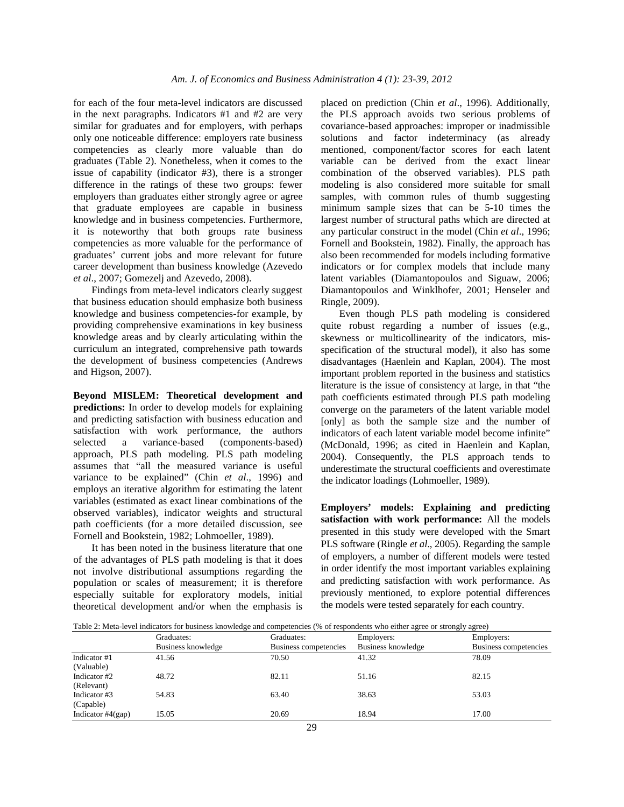for each of the four meta-level indicators are discussed in the next paragraphs. Indicators #1 and #2 are very similar for graduates and for employers, with perhaps only one noticeable difference: employers rate business competencies as clearly more valuable than do graduates (Table 2). Nonetheless, when it comes to the issue of capability (indicator #3), there is a stronger difference in the ratings of these two groups: fewer employers than graduates either strongly agree or agree that graduate employees are capable in business knowledge and in business competencies. Furthermore, it is noteworthy that both groups rate business competencies as more valuable for the performance of graduates' current jobs and more relevant for future career development than business knowledge (Azevedo *et al*., 2007; Gomezelj and Azevedo, 2008).

 Findings from meta-level indicators clearly suggest that business education should emphasize both business knowledge and business competencies-for example, by providing comprehensive examinations in key business knowledge areas and by clearly articulating within the curriculum an integrated, comprehensive path towards the development of business competencies (Andrews and Higson, 2007).

**Beyond MISLEM: Theoretical development and predictions:** In order to develop models for explaining and predicting satisfaction with business education and satisfaction with work performance, the authors selected a variance-based (components-based) approach, PLS path modeling. PLS path modeling assumes that "all the measured variance is useful variance to be explained" (Chin *et al*., 1996) and employs an iterative algorithm for estimating the latent variables (estimated as exact linear combinations of the observed variables), indicator weights and structural path coefficients (for a more detailed discussion, see Fornell and Bookstein, 1982; Lohmoeller, 1989).

 It has been noted in the business literature that one of the advantages of PLS path modeling is that it does not involve distributional assumptions regarding the population or scales of measurement; it is therefore especially suitable for exploratory models, initial theoretical development and/or when the emphasis is placed on prediction (Chin *et al*., 1996). Additionally, the PLS approach avoids two serious problems of covariance-based approaches: improper or inadmissible solutions and factor indeterminacy (as already mentioned, component/factor scores for each latent variable can be derived from the exact linear combination of the observed variables). PLS path modeling is also considered more suitable for small samples, with common rules of thumb suggesting minimum sample sizes that can be 5-10 times the largest number of structural paths which are directed at any particular construct in the model (Chin *et al*., 1996; Fornell and Bookstein, 1982). Finally, the approach has also been recommended for models including formative indicators or for complex models that include many latent variables (Diamantopoulos and Siguaw, 2006; Diamantopoulos and Winklhofer, 2001; Henseler and Ringle, 2009).

 Even though PLS path modeling is considered quite robust regarding a number of issues (e.g., skewness or multicollinearity of the indicators, misspecification of the structural model), it also has some disadvantages (Haenlein and Kaplan, 2004). The most important problem reported in the business and statistics literature is the issue of consistency at large, in that "the path coefficients estimated through PLS path modeling converge on the parameters of the latent variable model [only] as both the sample size and the number of indicators of each latent variable model become infinite" (McDonald, 1996; as cited in Haenlein and Kaplan, 2004). Consequently, the PLS approach tends to underestimate the structural coefficients and overestimate the indicator loadings (Lohmoeller, 1989).

**Employers' models: Explaining and predicting satisfaction with work performance:** All the models presented in this study were developed with the Smart PLS software (Ringle *et al*., 2005). Regarding the sample of employers, a number of different models were tested in order identify the most important variables explaining and predicting satisfaction with work performance. As previously mentioned, to explore potential differences the models were tested separately for each country.

Table 2: Meta-level indicators for business knowledge and competencies (% of respondents who either agree or strongly agree)

|                     | Graduates:         | Graduates:            | Employers:         | Employers:            |
|---------------------|--------------------|-----------------------|--------------------|-----------------------|
|                     | Business knowledge | Business competencies | Business knowledge | Business competencies |
| Indicator #1        | 41.56              | 70.50                 | 41.32              | 78.09                 |
| (Valuable)          |                    |                       |                    |                       |
| Indicator #2        | 48.72              | 82.11                 | 51.16              | 82.15                 |
| (Relevant)          |                    |                       |                    |                       |
| Indicator #3        | 54.83              | 63.40                 | 38.63              | 53.03                 |
| (Capable)           |                    |                       |                    |                       |
| Indicator $#4(gap)$ | 15.05              | 20.69                 | 18.94              | 17.00                 |
|                     |                    |                       |                    |                       |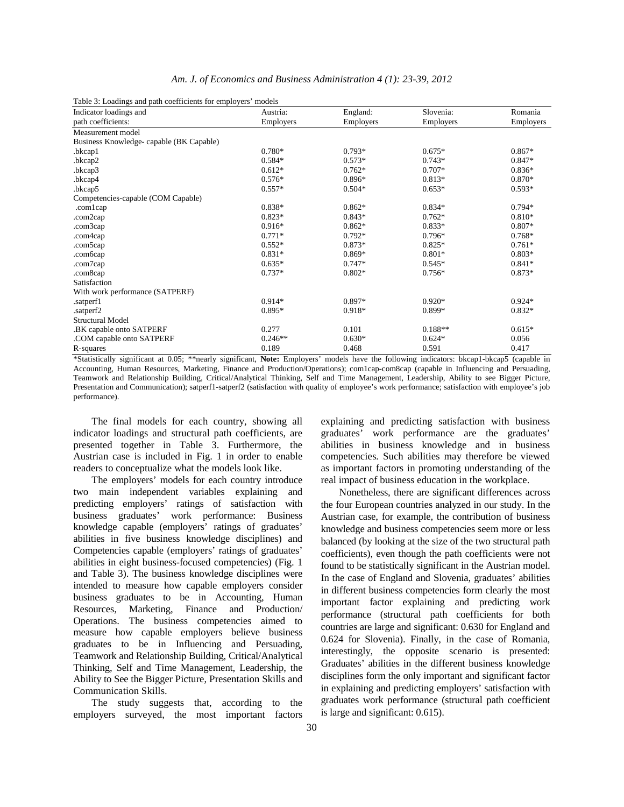| Table 3: Loadings and path coefficients for employers' models |           |                  |                  |           |
|---------------------------------------------------------------|-----------|------------------|------------------|-----------|
| Indicator loadings and                                        | Austria:  | England:         | Slovenia:        | Romania   |
| path coefficients:                                            | Employers | <b>Employers</b> | <b>Employers</b> | Employers |
| Measurement model                                             |           |                  |                  |           |
| Business Knowledge-capable (BK Capable)                       |           |                  |                  |           |
| .bkcap1                                                       | $0.780*$  | $0.793*$         | $0.675*$         | $0.867*$  |
| bkcap2.                                                       | $0.584*$  | $0.573*$         | $0.743*$         | $0.847*$  |
| bkcap3.                                                       | $0.612*$  | $0.762*$         | $0.707*$         | $0.836*$  |
| bkcap4.                                                       | $0.576*$  | $0.896*$         | $0.813*$         | $0.870*$  |
| bkcap5.                                                       | $0.557*$  | $0.504*$         | $0.653*$         | $0.593*$  |
| Competencies-capable (COM Capable)                            |           |                  |                  |           |
| .com1cap                                                      | 0.838*    | $0.862*$         | $0.834*$         | 0.794*    |
| .com2cap                                                      | $0.823*$  | $0.843*$         | $0.762*$         | $0.810*$  |
| .com3cap                                                      | $0.916*$  | $0.862*$         | $0.833*$         | $0.807*$  |
| .com4cap                                                      | $0.771*$  | $0.792*$         | $0.796*$         | $0.768*$  |
| .com5cap                                                      | $0.552*$  | 0.873*           | $0.825*$         | $0.761*$  |
| .com6cap                                                      | $0.831*$  | $0.869*$         | $0.801*$         | $0.803*$  |
| .com7cap                                                      | $0.635*$  | $0.747*$         | $0.545*$         | $0.841*$  |
| .com8cap                                                      | $0.737*$  | $0.802*$         | $0.756*$         | 0.873*    |
| Satisfaction                                                  |           |                  |                  |           |
| With work performance (SATPERF)                               |           |                  |                  |           |
| .satperf1                                                     | $0.914*$  | 0.897*           | $0.920*$         | $0.924*$  |
| .satperf2                                                     | $0.895*$  | 0.918*           | 0.899*           | $0.832*$  |
| <b>Structural Model</b>                                       |           |                  |                  |           |
| BK capable onto SATPERF                                       | 0.277     | 0.101            | $0.188**$        | $0.615*$  |
| .COM capable onto SATPERF                                     | $0.246**$ | $0.630*$         | $0.624*$         | 0.056     |
| R-squares                                                     | 0.189     | 0.468            | 0.591            | 0.417     |

*Am. J. of Economics and Business Administration 4 (1): 23-39, 2012* 

Table 3: Loadings and path coefficients for employers' models

\*Statistically significant at 0.05; \*\*nearly significant, **Note:** Employers' models have the following indicators: bkcap1-bkcap5 (capable in Accounting, Human Resources, Marketing, Finance and Production/Operations); com1cap-com8cap (capable in Influencing and Persuading, Teamwork and Relationship Building, Critical/Analytical Thinking, Self and Time Management, Leadership, Ability to see Bigger Picture, Presentation and Communication); satperf1-satperf2 (satisfaction with quality of employee's work performance; satisfaction with employee's job performance).

 The final models for each country, showing all indicator loadings and structural path coefficients, are presented together in Table 3. Furthermore, the Austrian case is included in Fig. 1 in order to enable readers to conceptualize what the models look like.

 The employers' models for each country introduce two main independent variables explaining and predicting employers' ratings of satisfaction with business graduates' work performance: Business knowledge capable (employers' ratings of graduates' abilities in five business knowledge disciplines) and Competencies capable (employers' ratings of graduates' abilities in eight business-focused competencies) (Fig. 1 and Table 3). The business knowledge disciplines were intended to measure how capable employers consider business graduates to be in Accounting, Human Resources, Marketing, Finance and Production/ Operations. The business competencies aimed to measure how capable employers believe business graduates to be in Influencing and Persuading, Teamwork and Relationship Building, Critical/Analytical Thinking, Self and Time Management, Leadership, the Ability to See the Bigger Picture, Presentation Skills and Communication Skills.

 The study suggests that, according to the employers surveyed, the most important factors explaining and predicting satisfaction with business graduates' work performance are the graduates' abilities in business knowledge and in business competencies*.* Such abilities may therefore be viewed as important factors in promoting understanding of the real impact of business education in the workplace.

 Nonetheless, there are significant differences across the four European countries analyzed in our study. In the Austrian case, for example, the contribution of business knowledge and business competencies seem more or less balanced (by looking at the size of the two structural path coefficients), even though the path coefficients were not found to be statistically significant in the Austrian model. In the case of England and Slovenia, graduates' abilities in different business competencies form clearly the most important factor explaining and predicting work performance (structural path coefficients for both countries are large and significant: 0.630 for England and 0.624 for Slovenia). Finally, in the case of Romania, interestingly, the opposite scenario is presented: Graduates' abilities in the different business knowledge disciplines form the only important and significant factor in explaining and predicting employers' satisfaction with graduates work performance (structural path coefficient is large and significant: 0.615).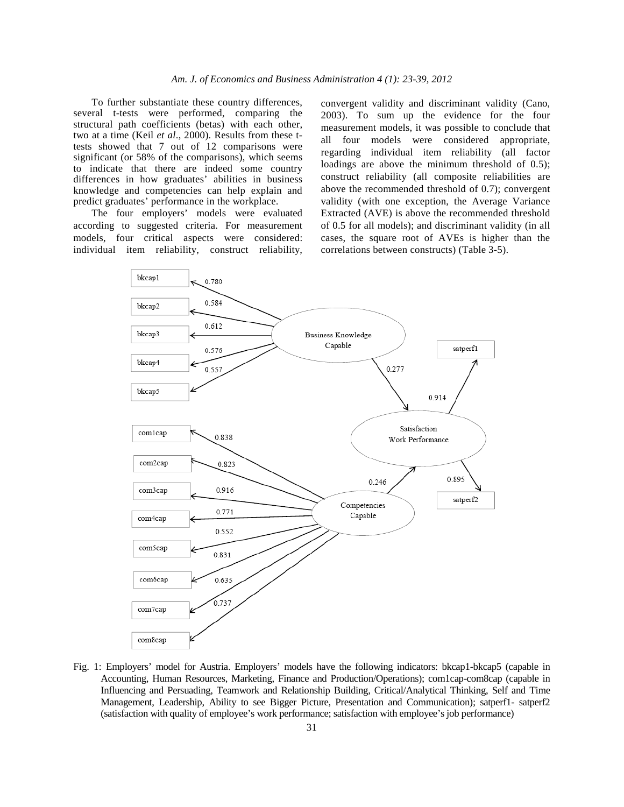To further substantiate these country differences, several t-tests were performed, comparing the structural path coefficients (betas) with each other, two at a time (Keil *et al*., 2000). Results from these ttests showed that 7 out of 12 comparisons were significant (or 58% of the comparisons), which seems to indicate that there are indeed some country differences in how graduates' abilities in business knowledge and competencies can help explain and predict graduates' performance in the workplace.

 The four employers' models were evaluated according to suggested criteria. For measurement models, four critical aspects were considered: individual item reliability, construct reliability, convergent validity and discriminant validity (Cano, 2003). To sum up the evidence for the four measurement models, it was possible to conclude that all four models were considered appropriate, regarding individual item reliability (all factor loadings are above the minimum threshold of 0.5); construct reliability (all composite reliabilities are above the recommended threshold of 0.7); convergent validity (with one exception, the Average Variance Extracted (AVE) is above the recommended threshold of 0.5 for all models); and discriminant validity (in all cases, the square root of AVEs is higher than the correlations between constructs) (Table 3-5).



Fig. 1: Employers' model for Austria. Employers' models have the following indicators: bkcap1-bkcap5 (capable in Accounting, Human Resources, Marketing, Finance and Production/Operations); com1cap-com8cap (capable in Influencing and Persuading, Teamwork and Relationship Building, Critical/Analytical Thinking, Self and Time Management, Leadership, Ability to see Bigger Picture, Presentation and Communication); satperf1- satperf2 (satisfaction with quality of employee's work performance; satisfaction with employee's job performance)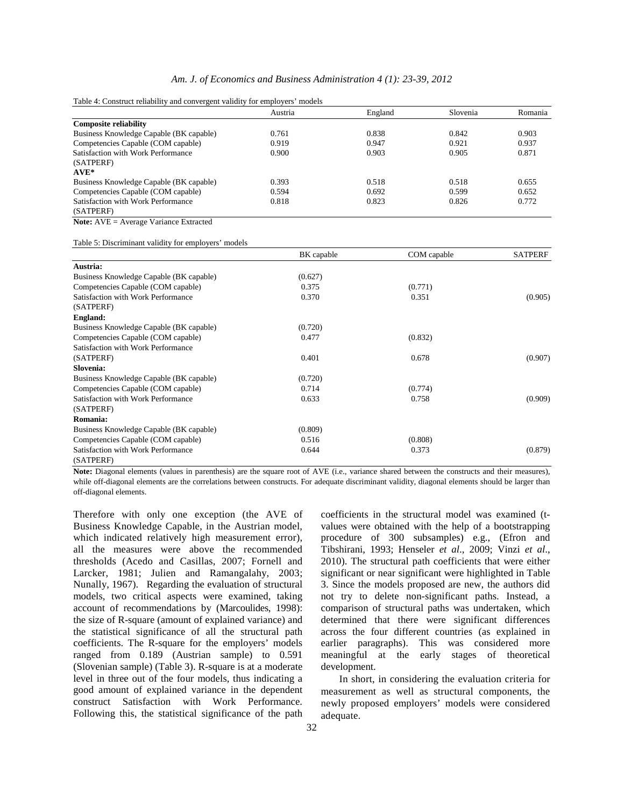|                                         | Austria | England | Slovenia | Romania |
|-----------------------------------------|---------|---------|----------|---------|
| <b>Composite reliability</b>            |         |         |          |         |
| Business Knowledge Capable (BK capable) | 0.761   | 0.838   | 0.842    | 0.903   |
| Competencies Capable (COM capable)      | 0.919   | 0.947   | 0.921    | 0.937   |
| Satisfaction with Work Performance      | 0.900   | 0.903   | 0.905    | 0.871   |
| (SATPERF)                               |         |         |          |         |
| $AVE*$                                  |         |         |          |         |
| Business Knowledge Capable (BK capable) | 0.393   | 0.518   | 0.518    | 0.655   |
| Competencies Capable (COM capable)      | 0.594   | 0.692   | 0.599    | 0.652   |
| Satisfaction with Work Performance      | 0.818   | 0.823   | 0.826    | 0.772   |
| (SATPERF)                               |         |         |          |         |
| ---                                     |         |         |          |         |

Table 4: Construct reliability and convergent validity for employers' models

**Note:** AVE = Average Variance Extracted

Table 5: Discriminant validity for employers' models

|                                         | BK capable | COM capable | <b>SATPERF</b> |
|-----------------------------------------|------------|-------------|----------------|
| Austria:                                |            |             |                |
| Business Knowledge Capable (BK capable) | (0.627)    |             |                |
| Competencies Capable (COM capable)      | 0.375      | (0.771)     |                |
| Satisfaction with Work Performance      | 0.370      | 0.351       | (0.905)        |
| (SATPERF)                               |            |             |                |
| England:                                |            |             |                |
| Business Knowledge Capable (BK capable) | (0.720)    |             |                |
| Competencies Capable (COM capable)      | 0.477      | (0.832)     |                |
| Satisfaction with Work Performance      |            |             |                |
| (SATPERF)                               | 0.401      | 0.678       | (0.907)        |
| Slovenia:                               |            |             |                |
| Business Knowledge Capable (BK capable) | (0.720)    |             |                |
| Competencies Capable (COM capable)      | 0.714      | (0.774)     |                |
| Satisfaction with Work Performance      | 0.633      | 0.758       | (0.909)        |
| (SATPERF)                               |            |             |                |
| Romania:                                |            |             |                |
| Business Knowledge Capable (BK capable) | (0.809)    |             |                |
| Competencies Capable (COM capable)      | 0.516      | (0.808)     |                |
| Satisfaction with Work Performance      | 0.644      | 0.373       | (0.879)        |
| (SATPERF)                               |            |             |                |

Note: Diagonal elements (values in parenthesis) are the square root of AVE (i.e., variance shared between the constructs and their measures), while off-diagonal elements are the correlations between constructs. For adequate discriminant validity, diagonal elements should be larger than off-diagonal elements.

Therefore with only one exception (the AVE of Business Knowledge Capable, in the Austrian model, which indicated relatively high measurement error), all the measures were above the recommended thresholds (Acedo and Casillas, 2007; Fornell and Larcker, 1981; Julien and Ramangalahy, 2003; Nunally, 1967). Regarding the evaluation of structural models, two critical aspects were examined, taking account of recommendations by (Marcoulides, 1998): the size of R-square (amount of explained variance) and the statistical significance of all the structural path coefficients. The R-square for the employers' models ranged from 0.189 (Austrian sample) to 0.591 (Slovenian sample) (Table 3). R-square is at a moderate level in three out of the four models, thus indicating a good amount of explained variance in the dependent construct Satisfaction with Work Performance. Following this, the statistical significance of the path

coefficients in the structural model was examined (tvalues were obtained with the help of a bootstrapping procedure of 300 subsamples) e.g., (Efron and Tibshirani, 1993; Henseler *et al*., 2009; Vinzi *et al*., 2010). The structural path coefficients that were either significant or near significant were highlighted in Table 3. Since the models proposed are new, the authors did not try to delete non-significant paths. Instead, a comparison of structural paths was undertaken, which determined that there were significant differences across the four different countries (as explained in earlier paragraphs). This was considered more meaningful at the early stages of theoretical development.

 In short, in considering the evaluation criteria for measurement as well as structural components, the newly proposed employers' models were considered adequate.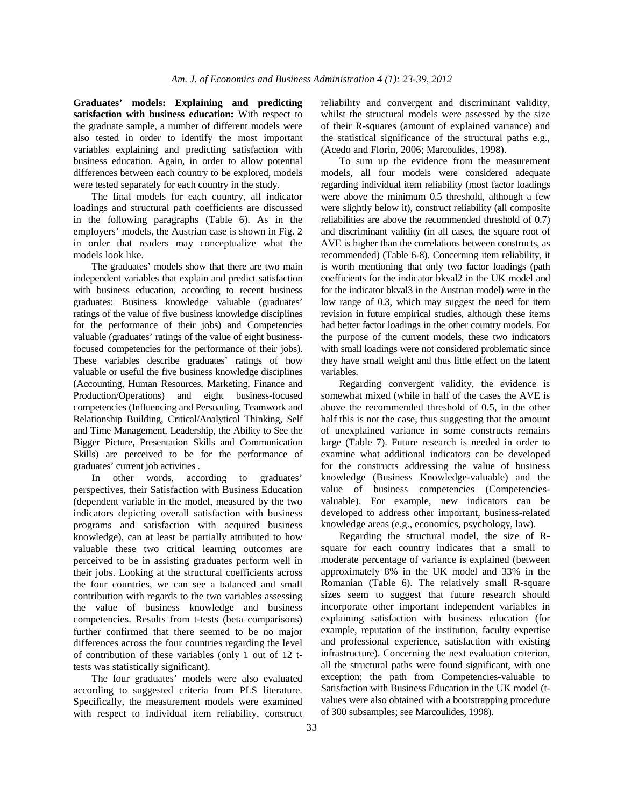**Graduates' models: Explaining and predicting satisfaction with business education:** With respect to the graduate sample, a number of different models were also tested in order to identify the most important variables explaining and predicting satisfaction with business education. Again, in order to allow potential differences between each country to be explored, models were tested separately for each country in the study.

 The final models for each country, all indicator loadings and structural path coefficients are discussed in the following paragraphs (Table 6). As in the employers' models, the Austrian case is shown in Fig. 2 in order that readers may conceptualize what the models look like.

 The graduates' models show that there are two main independent variables that explain and predict satisfaction with business education, according to recent business graduates: Business knowledge valuable (graduates' ratings of the value of five business knowledge disciplines for the performance of their jobs) and Competencies valuable (graduates' ratings of the value of eight businessfocused competencies for the performance of their jobs). These variables describe graduates' ratings of how valuable or useful the five business knowledge disciplines (Accounting, Human Resources, Marketing, Finance and Production/Operations) and eight business-focused competencies (Influencing and Persuading, Teamwork and Relationship Building, Critical/Analytical Thinking, Self and Time Management, Leadership, the Ability to See the Bigger Picture, Presentation Skills and Communication Skills) are perceived to be for the performance of graduates' current job activities .

 In other words, according to graduates' perspectives, their Satisfaction with Business Education (dependent variable in the model, measured by the two indicators depicting overall satisfaction with business programs and satisfaction with acquired business knowledge), can at least be partially attributed to how valuable these two critical learning outcomes are perceived to be in assisting graduates perform well in their jobs. Looking at the structural coefficients across the four countries, we can see a balanced and small contribution with regards to the two variables assessing the value of business knowledge and business competencies. Results from t-tests (beta comparisons) further confirmed that there seemed to be no major differences across the four countries regarding the level of contribution of these variables (only 1 out of 12 ttests was statistically significant).

 The four graduates' models were also evaluated according to suggested criteria from PLS literature. Specifically, the measurement models were examined with respect to individual item reliability, construct reliability and convergent and discriminant validity, whilst the structural models were assessed by the size of their R-squares (amount of explained variance) and the statistical significance of the structural paths e.g., (Acedo and Florin, 2006; Marcoulides, 1998).

 To sum up the evidence from the measurement models, all four models were considered adequate regarding individual item reliability (most factor loadings were above the minimum 0.5 threshold, although a few were slightly below it), construct reliability (all composite reliabilities are above the recommended threshold of 0.7) and discriminant validity (in all cases, the square root of AVE is higher than the correlations between constructs, as recommended) (Table 6-8). Concerning item reliability, it is worth mentioning that only two factor loadings (path coefficients for the indicator bkval2 in the UK model and for the indicator bkval3 in the Austrian model) were in the low range of 0.3, which may suggest the need for item revision in future empirical studies, although these items had better factor loadings in the other country models. For the purpose of the current models, these two indicators with small loadings were not considered problematic since they have small weight and thus little effect on the latent variables.

 Regarding convergent validity, the evidence is somewhat mixed (while in half of the cases the AVE is above the recommended threshold of 0.5, in the other half this is not the case, thus suggesting that the amount of unexplained variance in some constructs remains large (Table 7). Future research is needed in order to examine what additional indicators can be developed for the constructs addressing the value of business knowledge (Business Knowledge-valuable) and the value of business competencies (Competenciesvaluable). For example, new indicators can be developed to address other important, business-related knowledge areas (e.g., economics, psychology, law).

 Regarding the structural model, the size of Rsquare for each country indicates that a small to moderate percentage of variance is explained (between approximately 8% in the UK model and 33% in the Romanian (Table 6). The relatively small R-square sizes seem to suggest that future research should incorporate other important independent variables in explaining satisfaction with business education (for example, reputation of the institution, faculty expertise and professional experience, satisfaction with existing infrastructure). Concerning the next evaluation criterion, all the structural paths were found significant, with one exception; the path from Competencies-valuable to Satisfaction with Business Education in the UK model (tvalues were also obtained with a bootstrapping procedure of 300 subsamples; see Marcoulides, 1998).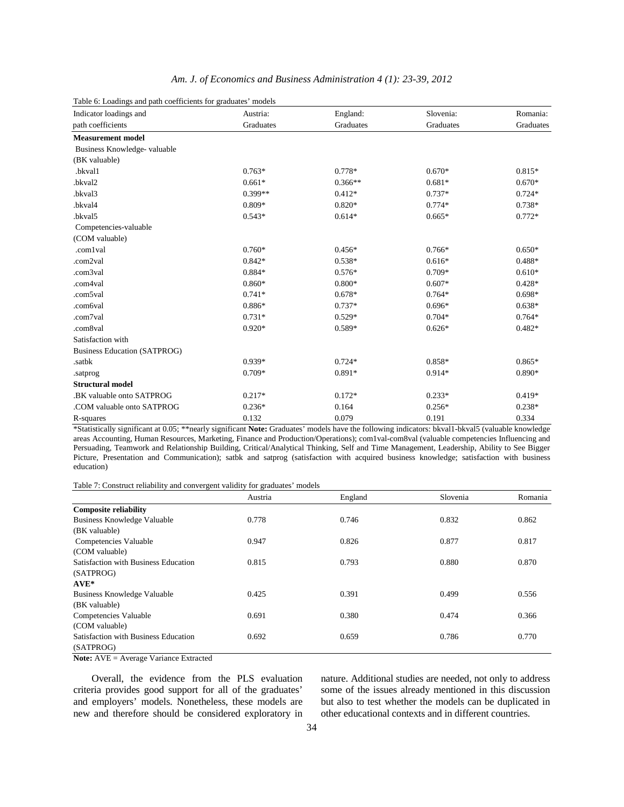| Indicator loadings and              | Austria:  | England:  | Slovenia: | Romania:  |
|-------------------------------------|-----------|-----------|-----------|-----------|
| path coefficients                   | Graduates | Graduates | Graduates | Graduates |
| <b>Measurement model</b>            |           |           |           |           |
| Business Knowledge- valuable        |           |           |           |           |
| (BK valuable)                       |           |           |           |           |
| .bkval1                             | $0.763*$  | 0.778*    | $0.670*$  | $0.815*$  |
| .bkval2                             | $0.661*$  | $0.366**$ | $0.681*$  | $0.670*$  |
| .bkval3                             | $0.399**$ | $0.412*$  | $0.737*$  | $0.724*$  |
| .bkval4                             | 0.809*    | $0.820*$  | $0.774*$  | $0.738*$  |
| .bkval5                             | $0.543*$  | $0.614*$  | $0.665*$  | $0.772*$  |
| Competencies-valuable               |           |           |           |           |
| (COM valuable)                      |           |           |           |           |
| .com1val                            | $0.760*$  | $0.456*$  | $0.766*$  | $0.650*$  |
| .com2val                            | $0.842*$  | 0.538*    | $0.616*$  | 0.488*    |
| .com3val                            | $0.884*$  | $0.576*$  | $0.709*$  | $0.610*$  |
| .com4val                            | $0.860*$  | $0.800*$  | $0.607*$  | $0.428*$  |
| .com5val                            | $0.741*$  | $0.678*$  | $0.764*$  | $0.698*$  |
| .com6val                            | $0.886*$  | $0.737*$  | $0.696*$  | $0.638*$  |
| .com7val                            | $0.731*$  | $0.529*$  | $0.704*$  | $0.764*$  |
| .com8val                            | $0.920*$  | 0.589*    | $0.626*$  | $0.482*$  |
| Satisfaction with                   |           |           |           |           |
| <b>Business Education (SATPROG)</b> |           |           |           |           |
| .satbk                              | $0.939*$  | $0.724*$  | 0.858*    | $0.865*$  |
| .satprog                            | 0.709*    | $0.891*$  | $0.914*$  | $0.890*$  |
| <b>Structural model</b>             |           |           |           |           |
| .BK valuable onto SATPROG           | $0.217*$  | $0.172*$  | $0.233*$  | $0.419*$  |
| .COM valuable onto SATPROG          | $0.236*$  | 0.164     | $0.256*$  | $0.238*$  |
| R-squares                           | 0.132     | 0.079     | 0.191     | 0.334     |

### *Am. J. of Economics and Business Administration 4 (1): 23-39, 2012*

Table 6: Loadings and path coefficients for graduates' models

\*Statistically significant at 0.05; \*\*nearly significant **Note:** Graduates' models have the following indicators: bkval1-bkval5 (valuable knowledge areas Accounting, Human Resources, Marketing, Finance and Production/Operations); com1val-com8val (valuable competencies Influencing and Persuading, Teamwork and Relationship Building, Critical/Analytical Thinking, Self and Time Management, Leadership, Ability to See Bigger Picture, Presentation and Communication); satbk and satprog (satisfaction with acquired business knowledge; satisfaction with business education)

Table 7: Construct reliability and convergent validity for graduates' models

|                                      | Austria | England | Slovenia | Romania |
|--------------------------------------|---------|---------|----------|---------|
| <b>Composite reliability</b>         |         |         |          |         |
| <b>Business Knowledge Valuable</b>   | 0.778   | 0.746   | 0.832    | 0.862   |
| (BK valuable)                        |         |         |          |         |
| Competencies Valuable                | 0.947   | 0.826   | 0.877    | 0.817   |
| (COM valuable)                       |         |         |          |         |
| Satisfaction with Business Education | 0.815   | 0.793   | 0.880    | 0.870   |
| (SATPROG)                            |         |         |          |         |
| $AVE*$                               |         |         |          |         |
| Business Knowledge Valuable          | 0.425   | 0.391   | 0.499    | 0.556   |
| (BK valuable)                        |         |         |          |         |
| Competencies Valuable                | 0.691   | 0.380   | 0.474    | 0.366   |
| (COM valuable)                       |         |         |          |         |
| Satisfaction with Business Education | 0.692   | 0.659   | 0.786    | 0.770   |
| (SATPROG)                            |         |         |          |         |

**Note:** AVE = Average Variance Extracted

 Overall, the evidence from the PLS evaluation criteria provides good support for all of the graduates' and employers' models. Nonetheless, these models are new and therefore should be considered exploratory in nature. Additional studies are needed, not only to address some of the issues already mentioned in this discussion but also to test whether the models can be duplicated in other educational contexts and in different countries.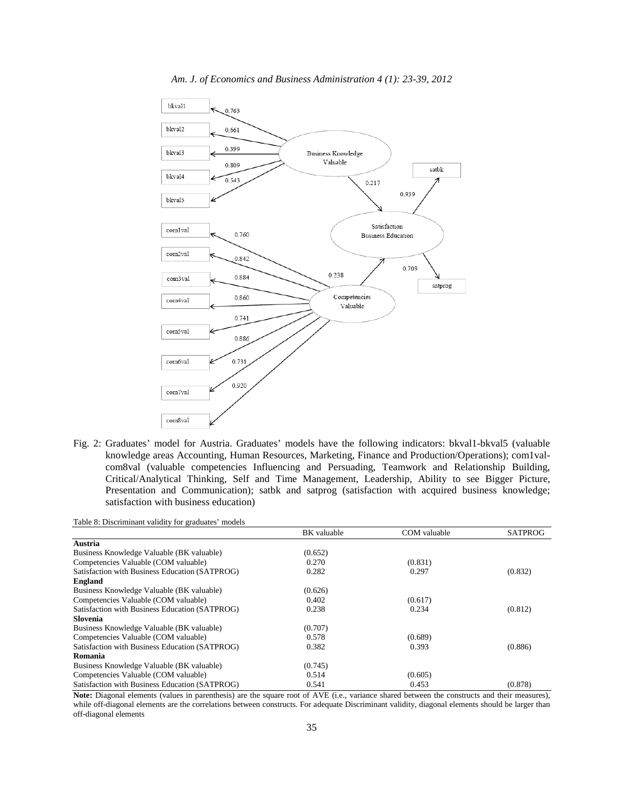

Fig. 2: Graduates' model for Austria. Graduates' models have the following indicators: bkval1-bkval5 (valuable knowledge areas Accounting, Human Resources, Marketing, Finance and Production/Operations); com1valcom8val (valuable competencies Influencing and Persuading, Teamwork and Relationship Building, Critical/Analytical Thinking, Self and Time Management, Leadership, Ability to see Bigger Picture, Presentation and Communication); satbk and satprog (satisfaction with acquired business knowledge; satisfaction with business education)

| Table 8: Discriminant validity for graduates' models |                    |              |                |
|------------------------------------------------------|--------------------|--------------|----------------|
|                                                      | <b>BK</b> valuable | COM valuable | <b>SATPROG</b> |
| Austria                                              |                    |              |                |
| Business Knowledge Valuable (BK valuable)            | (0.652)            |              |                |
| Competencies Valuable (COM valuable)                 | 0.270              | (0.831)      |                |
| Satisfaction with Business Education (SATPROG)       | 0.282              | 0.297        | (0.832)        |
| <b>England</b>                                       |                    |              |                |
| Business Knowledge Valuable (BK valuable)            | (0.626)            |              |                |
| Competencies Valuable (COM valuable)                 | 0.402              | (0.617)      |                |
| Satisfaction with Business Education (SATPROG)       | 0.238              | 0.234        | (0.812)        |
| Slovenia                                             |                    |              |                |
| Business Knowledge Valuable (BK valuable)            | (0.707)            |              |                |
| Competencies Valuable (COM valuable)                 | 0.578              | (0.689)      |                |
| Satisfaction with Business Education (SATPROG)       | 0.382              | 0.393        | (0.886)        |
| Romania                                              |                    |              |                |
| Business Knowledge Valuable (BK valuable)            | (0.745)            |              |                |
| Competencies Valuable (COM valuable)                 | 0.514              | (0.605)      |                |
| Satisfaction with Business Education (SATPROG)       | 0.541              | 0.453        | (0.878)        |

**Note:** Diagonal elements (values in parenthesis) are the square root of AVE (i.e., variance shared between the constructs and their measures), while off-diagonal elements are the correlations between constructs. For adequate Discriminant validity, diagonal elements should be larger than off-diagonal elements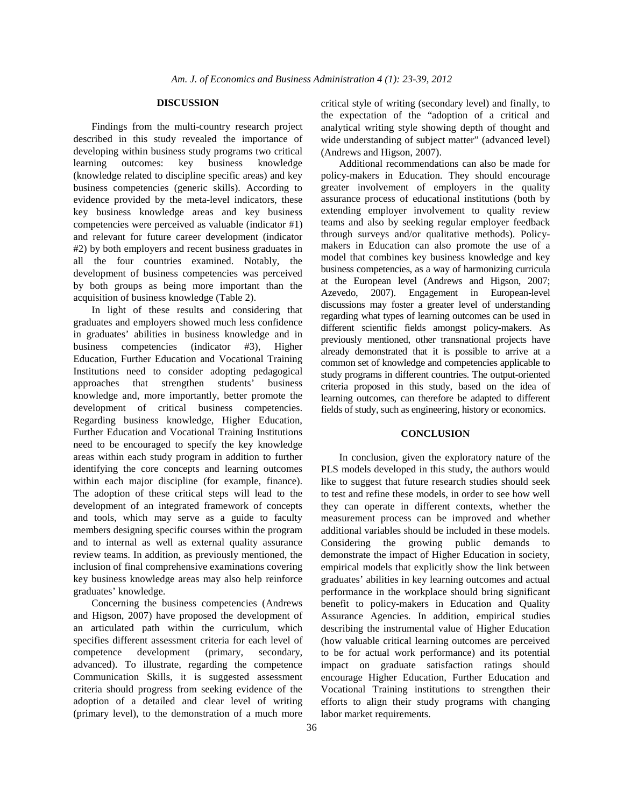#### **DISCUSSION**

 Findings from the multi-country research project described in this study revealed the importance of developing within business study programs two critical learning outcomes: key business knowledge (knowledge related to discipline specific areas) and key business competencies (generic skills). According to evidence provided by the meta-level indicators, these key business knowledge areas and key business competencies were perceived as valuable (indicator #1) and relevant for future career development (indicator #2) by both employers and recent business graduates in all the four countries examined. Notably, the development of business competencies was perceived by both groups as being more important than the acquisition of business knowledge (Table 2).

 In light of these results and considering that graduates and employers showed much less confidence in graduates' abilities in business knowledge and in business competencies (indicator #3), Higher Education, Further Education and Vocational Training Institutions need to consider adopting pedagogical approaches that strengthen students' business knowledge and, more importantly, better promote the development of critical business competencies. Regarding business knowledge, Higher Education, Further Education and Vocational Training Institutions need to be encouraged to specify the key knowledge areas within each study program in addition to further identifying the core concepts and learning outcomes within each major discipline (for example, finance). The adoption of these critical steps will lead to the development of an integrated framework of concepts and tools, which may serve as a guide to faculty members designing specific courses within the program and to internal as well as external quality assurance review teams. In addition, as previously mentioned, the inclusion of final comprehensive examinations covering key business knowledge areas may also help reinforce graduates' knowledge.

 Concerning the business competencies (Andrews and Higson, 2007) have proposed the development of an articulated path within the curriculum, which specifies different assessment criteria for each level of competence development (primary, secondary, advanced). To illustrate, regarding the competence Communication Skills, it is suggested assessment criteria should progress from seeking evidence of the adoption of a detailed and clear level of writing (primary level), to the demonstration of a much more

critical style of writing (secondary level) and finally, to the expectation of the "adoption of a critical and analytical writing style showing depth of thought and wide understanding of subject matter" (advanced level) (Andrews and Higson, 2007).

 Additional recommendations can also be made for policy-makers in Education. They should encourage greater involvement of employers in the quality assurance process of educational institutions (both by extending employer involvement to quality review teams and also by seeking regular employer feedback through surveys and/or qualitative methods). Policymakers in Education can also promote the use of a model that combines key business knowledge and key business competencies, as a way of harmonizing curricula at the European level (Andrews and Higson, 2007; Azevedo, 2007). Engagement in European-level discussions may foster a greater level of understanding regarding what types of learning outcomes can be used in different scientific fields amongst policy-makers. As previously mentioned, other transnational projects have already demonstrated that it is possible to arrive at a common set of knowledge and competencies applicable to study programs in different countries. The output-oriented criteria proposed in this study, based on the idea of learning outcomes, can therefore be adapted to different fields of study, such as engineering, history or economics.

#### **CONCLUSION**

 In conclusion, given the exploratory nature of the PLS models developed in this study, the authors would like to suggest that future research studies should seek to test and refine these models, in order to see how well they can operate in different contexts, whether the measurement process can be improved and whether additional variables should be included in these models. Considering the growing public demands demonstrate the impact of Higher Education in society, empirical models that explicitly show the link between graduates' abilities in key learning outcomes and actual performance in the workplace should bring significant benefit to policy-makers in Education and Quality Assurance Agencies. In addition, empirical studies describing the instrumental value of Higher Education (how valuable critical learning outcomes are perceived to be for actual work performance) and its potential impact on graduate satisfaction ratings should encourage Higher Education, Further Education and Vocational Training institutions to strengthen their efforts to align their study programs with changing labor market requirements.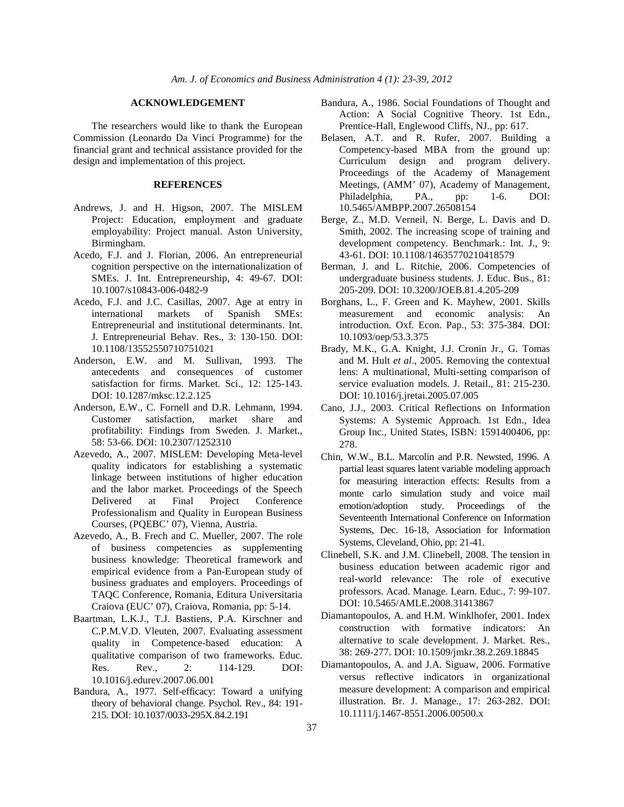## **ACKNOWLEDGEMENT**

 The researchers would like to thank the European Commission (Leonardo Da Vinci Programme) for the financial grant and technical assistance provided for the design and implementation of this project.

#### **REFERENCES**

- Andrews, J. and H. Higson, 2007. The MISLEM Project: Education, employment and graduate employability: Project manual. Aston University, Birmingham.
- Acedo, F.J. and J. Florian, 2006. An entrepreneurial cognition perspective on the internationalization of SMEs. J. Int. Entrepreneurship, 4: 49-67. DOI: 10.1007/s10843-006-0482-9
- Acedo, F.J. and J.C. Casillas, 2007. Age at entry in international markets of Spanish SMEs: Entrepreneurial and institutional determinants. Int. J. Entrepreneurial Behav. Res., 3: 130-150. DOI: 10.1108/13552550710751021
- Anderson, E.W. and M. Sullivan, 1993. The antecedents and consequences of customer satisfaction for firms. Market. Sci., 12: 125-143. DOI: 10.1287/mksc.12.2.125
- Anderson, E.W., C. Fornell and D.R. Lehmann, 1994. Customer satisfaction, market share and profitability: Findings from Sweden. J. Market., 58: 53-66. DOI: 10.2307/1252310
- Azevedo, A., 2007. MISLEM: Developing Meta-level quality indicators for establishing a systematic linkage between institutions of higher education and the labor market. Proceedings of the Speech Delivered at Final Project Conference Professionalism and Quality in European Business Courses, (PQEBC' 07), Vienna, Austria.
- Azevedo, A., B. Frech and C. Mueller, 2007. The role of business competencies as supplementing business knowledge: Theoretical framework and empirical evidence from a Pan-European study of business graduates and employers. Proceedings of TAQC Conference, Romania, Editura Universitaria Craiova (EUC' 07), Craiova, Romania, pp: 5-14.
- Baartman, L.K.J., T.J. Bastiens, P.A. Kirschner and C.P.M.V.D. Vleuten, 2007. Evaluating assessment quality in Competence-based education: A qualitative comparison of two frameworks. Educ. Res. Rev., 2: 114-129. DOI: 10.1016/j.edurev.2007.06.001
- Bandura, A., 1977. Self-efficacy: Toward a unifying theory of behavioral change. Psychol. Rev., 84: 191- 215. DOI: 10.1037/0033-295X.84.2.191
- Bandura, A., 1986. Social Foundations of Thought and Action: A Social Cognitive Theory. 1st Edn., Prentice-Hall, Englewood Cliffs, NJ., pp: 617.
- Belasen, A.T. and R. Rufer, 2007. Building a Competency-based MBA from the ground up: Curriculum design and program delivery. Proceedings of the Academy of Management Meetings, (AMM' 07), Academy of Management, Philadelphia, PA., pp: 1-6. DOI: 10.5465/AMBPP.2007.26508154
- Berge, Z., M.D. Verneil, N. Berge, L. Davis and D. Smith, 2002. The increasing scope of training and development competency. Benchmark.: Int. J., 9: 43-61. DOI: 10.1108/14635770210418579
- Berman, J. and L. Ritchie, 2006. Competencies of undergraduate business students. J. Educ. Bus., 81: 205-209. DOI: 10.3200/JOEB.81.4.205-209
- Borghans, L., F. Green and K. Mayhew, 2001. Skills measurement and economic analysis: An introduction. Oxf. Econ. Pap., 53: 375-384. DOI: 10.1093/oep/53.3.375
- Brady, M.K., G.A. Knight, J.J. Cronin Jr., G. Tomas and M. Hult *et al*., 2005. Removing the contextual lens: A multinational, Multi-setting comparison of service evaluation models. J. Retail., 81: 215-230. DOI: 10.1016/j.jretai.2005.07.005
- Cano, J.J., 2003. Critical Reflections on Information Systems: A Systemic Approach. 1st Edn., Idea Group Inc., United States, ISBN: 1591400406, pp: 278.
- Chin, W.W., B.L. Marcolin and P.R. Newsted, 1996. A partial least squares latent variable modeling approach for measuring interaction effects: Results from a monte carlo simulation study and voice mail emotion/adoption study. Proceedings of the Seventeenth International Conference on Information Systems, Dec. 16-18, Association for Information Systems, Cleveland, Ohio, pp: 21-41.
- Clinebell, S.K. and J.M. Clinebell, 2008. The tension in business education between academic rigor and real-world relevance: The role of executive professors. Acad. Manage. Learn. Educ., 7: 99-107. DOI: 10.5465/AMLE.2008.31413867
- Diamantopoulos, A. and H.M. Winklhofer, 2001. Index construction with formative indicators: An alternative to scale development. J. Market. Res., 38: 269-277. DOI: 10.1509/jmkr.38.2.269.18845
- Diamantopoulos, A. and J.A. Siguaw, 2006. Formative versus reflective indicators in organizational measure development: A comparison and empirical illustration. Br. J. Manage., 17: 263-282. DOI: 10.1111/j.1467-8551.2006.00500.x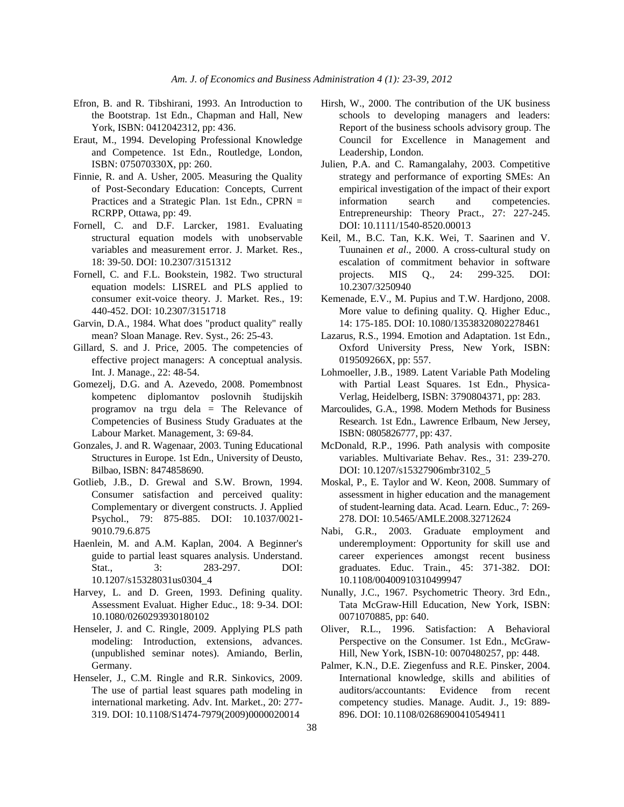- Efron, B. and R. Tibshirani, 1993. An Introduction to the Bootstrap. 1st Edn., Chapman and Hall, New York, ISBN: 0412042312, pp: 436.
- Eraut, M., 1994. Developing Professional Knowledge and Competence. 1st Edn., Routledge, London, ISBN: 075070330X, pp: 260.
- Finnie, R. and A. Usher, 2005. Measuring the Quality of Post-Secondary Education: Concepts, Current Practices and a Strategic Plan. 1st Edn., CPRN = RCRPP, Ottawa, pp: 49.
- Fornell, C. and D.F. Larcker, 1981. Evaluating structural equation models with unobservable variables and measurement error. J. Market. Res., 18: 39-50. DOI: 10.2307/3151312
- Fornell, C. and F.L. Bookstein, 1982. Two structural equation models: LISREL and PLS applied to consumer exit-voice theory. J. Market. Res., 19: 440-452. DOI: 10.2307/3151718
- Garvin, D.A., 1984. What does "product quality" really mean? Sloan Manage. Rev. Syst., 26: 25-43.
- Gillard, S. and J. Price, 2005. The competencies of effective project managers: A conceptual analysis. Int. J. Manage., 22: 48-54.
- Gomezelj, D.G. and A. Azevedo, 2008. Pomembnost kompetenc diplomantov poslovnih študijskih programov na trgu dela = The Relevance of Competencies of Business Study Graduates at the Labour Market. Management, 3: 69-84.
- Gonzales, J. and R. Wagenaar, 2003. Tuning Educational Structures in Europe. 1st Edn., University of Deusto, Bilbao, ISBN: 8474858690.
- Gotlieb, J.B., D. Grewal and S.W. Brown, 1994. Consumer satisfaction and perceived quality: Complementary or divergent constructs. J. Applied Psychol., 79: 875-885. DOI: 10.1037/0021- 9010.79.6.875
- Haenlein, M. and A.M. Kaplan, 2004. A Beginner's guide to partial least squares analysis. Understand. Stat., 3: 283-297. DOI: 10.1207/s15328031us0304\_4
- Harvey, L. and D. Green, 1993. Defining quality. Assessment Evaluat. Higher Educ., 18: 9-34. DOI: 10.1080/0260293930180102
- Henseler, J. and C. Ringle, 2009. Applying PLS path modeling: Introduction, extensions, advances. (unpublished seminar notes). Amiando, Berlin, Germany.
- Henseler, J., C.M. Ringle and R.R. Sinkovics, 2009. The use of partial least squares path modeling in international marketing. Adv. Int. Market., 20: 277- 319. DOI: 10.1108/S1474-7979(2009)0000020014
- Hirsh, W., 2000. The contribution of the UK business schools to developing managers and leaders: Report of the business schools advisory group. The Council for Excellence in Management and Leadership, London.
- Julien, P.A. and C. Ramangalahy, 2003. Competitive strategy and performance of exporting SMEs: An empirical investigation of the impact of their export information search and competencies. Entrepreneurship: Theory Pract., 27: 227-245. DOI: 10.1111/1540-8520.00013
- Keil, M., B.C. Tan, K.K. Wei, T. Saarinen and V. Tuunainen *et al*., 2000. A cross-cultural study on escalation of commitment behavior in software projects. MIS Q., 24: 299-325. DOI: 10.2307/3250940
- Kemenade, E.V., M. Pupius and T.W. Hardjono, 2008. More value to defining quality. Q. Higher Educ., 14: 175-185. DOI: 10.1080/13538320802278461
- Lazarus, R.S., 1994. Emotion and Adaptation. 1st Edn., Oxford University Press, New York, ISBN: 019509266X, pp: 557.
- Lohmoeller, J.B., 1989. Latent Variable Path Modeling with Partial Least Squares. 1st Edn., Physica-Verlag, Heidelberg, ISBN: 3790804371, pp: 283.
- Marcoulides, G.A., 1998. Modern Methods for Business Research. 1st Edn., Lawrence Erlbaum, New Jersey, ISBN: 0805826777, pp: 437.
- McDonald, R.P., 1996. Path analysis with composite variables. Multivariate Behav. Res., 31: 239-270. DOI: 10.1207/s15327906mbr3102\_5
- Moskal, P., E. Taylor and W. Keon, 2008. Summary of assessment in higher education and the management of student-learning data. Acad. Learn. Educ., 7: 269- 278. DOI: 10.5465/AMLE.2008.32712624
- Nabi, G.R., 2003. Graduate employment and underemployment: Opportunity for skill use and career experiences amongst recent business graduates. Educ. Train., 45: 371-382. DOI: 10.1108/00400910310499947
- Nunally, J.C., 1967. Psychometric Theory. 3rd Edn., Tata McGraw-Hill Education, New York, ISBN: 0071070885, pp: 640.
- Oliver, R.L., 1996. Satisfaction: A Behavioral Perspective on the Consumer. 1st Edn., McGraw-Hill, New York, ISBN-10: 0070480257, pp: 448.
- Palmer, K.N., D.E. Ziegenfuss and R.E. Pinsker, 2004. International knowledge, skills and abilities of auditors/accountants: Evidence from recent competency studies. Manage. Audit. J., 19: 889- 896. DOI: 10.1108/02686900410549411